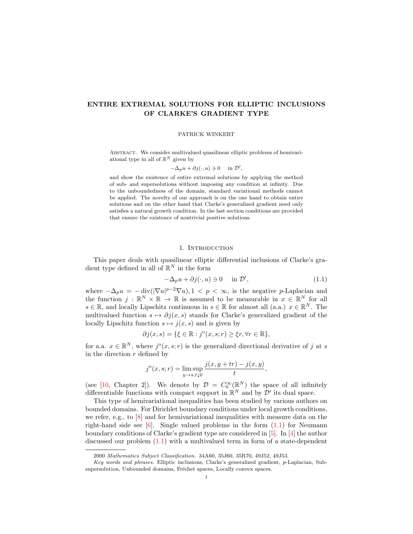# ENTIRE EXTREMAL SOLUTIONS FOR ELLIPTIC INCLUSIONS OF CLARKE'S GRADIENT TYPE

#### PATRICK WINKERT

ABSTRACT. We consider multivalued quasilinear elliptic problems of hemivariational type in all of  $\mathbb{R}^N$  given by

$$
-\Delta_p u + \partial j(\cdot, u) \ni 0 \quad \text{ in } \mathcal{D}',
$$

and show the existence of entire extremal solutions by applying the method of sub- and supersolutions without imposing any condition at infinity. Due to the unboundedness of the domain, standard variational methods cannot be applied. The novelty of our approach is on the one hand to obtain entire solutions and on the other hand that Clarke's generalized gradient need only satisfies a natural growth condition. In the last section conditions are provided that ensure the existence of nontrivial positive solutions.

### <span id="page-0-0"></span>1. INTRODUCTION

This paper deals with quasilinear elliptic differential inclusions of Clarke's gradient type defined in all of  $\mathbb{R}^N$  in the form

$$
-\Delta_p u + \partial j(\cdot, u) \ni 0 \quad \text{in } \mathcal{D}',\tag{1.1}
$$

where  $-\Delta_p u = -\text{div}(|\nabla u|^{p-2}\nabla u), 1 \leq p \leq \infty$ , is the negative p-Laplacian and the function  $j : \mathbb{R}^N \times \mathbb{R} \to \mathbb{R}$  is assumed to be measurable in  $x \in \mathbb{R}^N$  for all  $s \in \mathbb{R}$ , and locally Lipschitz continuous in  $s \in \mathbb{R}$  for almost all (a.a.)  $x \in \mathbb{R}^N$ . The multivalued function  $s \mapsto \partial j(x, s)$  stands for Clarke's generalized gradient of the locally Lipschitz function  $s \mapsto j(x, s)$  and is given by

$$
\partial j(x, s) = \{ \xi \in \mathbb{R} : j^{\circ}(x, s; r) \geq \xi r, \forall r \in \mathbb{R} \},
$$

for a.a.  $x \in \mathbb{R}^N$ , where  $j^{\circ}(x, s; r)$  is the generalized directional derivative of j at s in the direction  $r$  defined by

$$
j^{o}(x, s; r) = \limsup_{y \to s, t \downarrow 0} \frac{j(x, y + tr) - j(x, y)}{t},
$$

(see [\[10,](#page-10-0) Chapter 2]). We denote by  $\mathcal{D} = C_0^{\infty}(\mathbb{R}^N)$  the space of all infinitely differentiable functions with compact support in  $\mathbb{R}^N$  and by  $\mathcal{D}'$  its dual space.

This type of hemivariational inequalities has been studied by various authors on bounded domains. For Dirichlet boundary conditions under local growth conditions, we refer, e.g., to [\[8\]](#page-9-0) and for hemivariational inequalities with measure data on the right-hand side see  $[6]$ . Single valued problems in the form  $(1.1)$  for Neumann boundary conditions of Clarke's gradient type are considered in [\[5\]](#page-9-2). In [\[4\]](#page-9-3) the author discussed our problem  $(1.1)$  with a multivalued term in form of a state-dependent

<sup>2000</sup> Mathematics Subject Classification. 34A60, 35J60, 35R70, 49J52, 49J53.

Key words and phrases. Elliptic inclusions, Clarke's generalized gradient, p-Laplacian, Subsupersolution, Unbounded domains, Fréchet spaces, Locally convex spaces.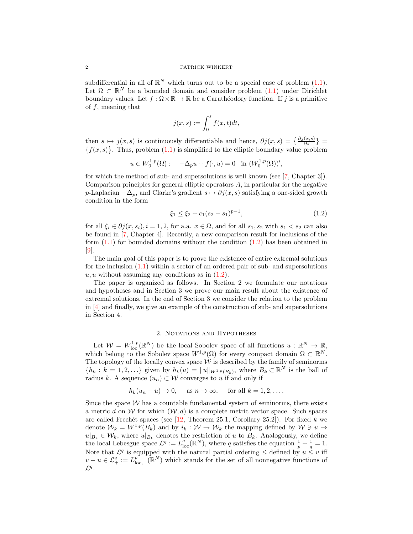### 2 PATRICK WINKERT

subdifferential in all of  $\mathbb{R}^N$  which turns out to be a special case of problem [\(1.1\)](#page-0-0). Let  $\Omega \subset \mathbb{R}^N$  be a bounded domain and consider problem  $(1.1)$  under Dirichlet boundary values. Let  $f : \Omega \times \mathbb{R} \to \mathbb{R}$  be a Carathéodory function. If j is a primitive of f, meaning that

$$
j(x,s):=\int_0^sf(x,t)dt,
$$

then  $s \mapsto j(x, s)$  is continuously differentiable and hence,  $\partial j(x, s) = \left\{\frac{\partial j(x, s)}{\partial s}\right\}$  ${f(x, s)}$ . Thus, problem  $(1.1)$  is simplified to the elliptic boundary value problem

$$
u \in W_0^{1,p}(\Omega): \quad -\Delta_p u + f(\cdot, u) = 0 \quad \text{in } (W_0^{1,p}(\Omega))',
$$

for which the method of sub- and supersolutions is well known (see [\[7,](#page-9-4) Chapter 3]). Comparison principles for general elliptic operators  $A$ , in particular for the negative p-Laplacian  $-\Delta_p$ , and Clarke's gradient  $s \mapsto \partial j(x, s)$  satisfying a one-sided growth condition in the form

<span id="page-1-0"></span>
$$
\xi_1 \le \xi_2 + c_1 (s_2 - s_1)^{p-1},\tag{1.2}
$$

for all  $\xi_i \in \partial j(x, s_i), i = 1, 2$ , for a.a.  $x \in \Omega$ , and for all  $s_1, s_2$  with  $s_1 < s_2$  can also be found in [\[7,](#page-9-4) Chapter 4]. Recently, a new comparison result for inclusions of the form  $(1.1)$  for bounded domains without the condition  $(1.2)$  has been obtained in  $|9|$ .

The main goal of this paper is to prove the existence of entire extremal solutions for the inclusion  $(1.1)$  within a sector of an ordered pair of sub- and supersolutions  $u, \overline{u}$  without assuming any conditions as in  $(1.2)$ .

The paper is organized as follows. In Section 2 we formulate our notations and hypotheses and in Section 3 we prove our main result about the existence of extremal solutions. In the end of Section 3 we consider the relation to the problem in [\[4\]](#page-9-3) and finally, we give an example of the construction of sub- and supersolutions in Section 4.

# 2. Notations and Hypotheses

Let  $W = W^{1,p}_{loc}(\mathbb{R}^N)$  be the local Sobolev space of all functions  $u : \mathbb{R}^N \to \mathbb{R}$ , which belong to the Sobolev space  $W^{1,p}(\Omega)$  for every compact domain  $\Omega \subset \mathbb{R}^N$ . The topology of the locally convex space  $W$  is described by the family of seminorms  ${h_k : k = 1, 2, ...}$  given by  $h_k(u) = ||u||_{W^{1,p}(B_k)}$ , where  $B_k \subset \mathbb{R}^N$  is the ball of radius k. A sequence  $(u_n) \subset \mathcal{W}$  converges to u if and only if

$$
h_k(u_n - u) \to 0
$$
, as  $n \to \infty$ , for all  $k = 1, 2, ...$ 

Since the space  $W$  has a countable fundamental system of seminorms, there exists a metric d on W for which  $(\mathcal{W}, d)$  is a complete metric vector space. Such spaces are called Frechét spaces (see  $[12,$  Theorem 25.1, Corollary 25.2]). For fixed k we denote  $W_k = W^{1,p}(B_k)$  and by  $i_k : \mathcal{W} \to \mathcal{W}_k$  the mapping defined by  $\mathcal{W} \ni u \mapsto$  $u|_{B_k} \in \mathcal{W}_k$ , where  $u|_{B_k}$  denotes the restriction of u to  $B_k$ . Analogously, we define the local Lebesgue space  $\mathcal{L}^q := L^q_{loc}(\mathbb{R}^N)$ , where q satisfies the equation  $\frac{1}{p} + \frac{1}{q} = 1$ . Note that  $\mathcal{L}^q$  is equipped with the natural partial ordering  $\leq$  defined by  $u \leq v$  iff  $v - u \in \mathcal{L}_{+}^{q} := L_{\text{loc},+}^{p}(\mathbb{R}^{N})$  which stands for the set of all nonnegative functions of  $\mathcal{L}^q$ .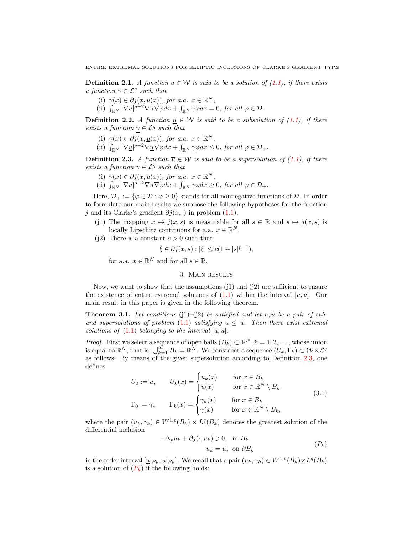<span id="page-2-2"></span>**Definition 2.1.** A function  $u \in \mathcal{W}$  is said to be a solution of [\(1.1\)](#page-0-0), if there exists a function  $\gamma \in \mathcal{L}^q$  such that

- (i)  $\gamma(x) \in \partial j(x, u(x))$ , for a.a.  $x \in \mathbb{R}^N$ ,
- (ii)  $\int_{\mathbb{R}^N} |\nabla u|^{p-2} \nabla u \nabla \varphi dx + \int_{\mathbb{R}^N} \gamma \varphi dx = 0$ , for all  $\varphi \in \mathcal{D}$ .

**Definition 2.2.** A function  $\underline{u} \in \mathcal{W}$  is said to be a subsolution of [\(1.1\)](#page-0-0), if there exists a function  $\gamma \in \mathcal{L}^q$  such that

- (i)  $\gamma(x) \in \partial j(x, \underline{u}(x))$ , for a.a.  $x \in \mathbb{R}^N$ ,
- (ii)  $\int_{\mathbb{R}^N} |\nabla \underline{u}|^{p-2} \nabla \underline{u} \nabla \varphi dx + \int_{\mathbb{R}^N} \underline{\gamma} \varphi dx \leq 0$ , for all  $\varphi \in \mathcal{D}_+$ .

<span id="page-2-0"></span>**Definition 2.3.** A function  $\overline{u} \in \mathcal{W}$  is said to be a supersolution of [\(1.1\)](#page-0-0), if there exists a function  $\overline{\gamma} \in \mathcal{L}^q$  such that

- (i)  $\overline{\gamma}(x) \in \partial j(x, \overline{u}(x))$ , for a.a.  $x \in \mathbb{R}^N$ ,
- (ii)  $\int_{\mathbb{R}^N} |\nabla \overline{u}|^{p-2} \nabla \overline{u} \nabla \varphi dx + \int_{\mathbb{R}^N} \overline{\gamma} \varphi dx \geq 0$ , for all  $\varphi \in \mathcal{D}_+$ .

Here,  $\mathcal{D}_+ := \{ \varphi \in \mathcal{D} : \varphi \geq 0 \}$  stands for all nonnegative functions of  $\mathcal{D}$ . In order to formulate our main results we suppose the following hypotheses for the function j and its Clarke's gradient  $\partial j(x, \cdot)$  in problem [\(1.1\)](#page-0-0).

- (j1) The mapping  $x \mapsto j(x, s)$  is measurable for all  $s \in \mathbb{R}$  and  $s \mapsto j(x, s)$  is locally Lipschitz continuous for a.a.  $x \in \mathbb{R}^N$ .
- (i2) There is a constant  $c > 0$  such that

$$
\xi \in \partial j(x, s) : |\xi| \le c(1 + |s|^{p-1}),
$$

for a.a.  $x \in \mathbb{R}^N$  and for all  $s \in \mathbb{R}$ .

# 3. Main results

Now, we want to show that the assumptions  $(i)$  and  $(i)$  are sufficient to ensure the existence of entire extremal solutions of [\(1.1\)](#page-0-0) within the interval [u,  $\overline{u}$ ]. Our main result in this paper is given in the following theorem.

<span id="page-2-4"></span>**Theorem 3.1.** Let conditions (j1)–(j2) be satisfied and let  $u, \overline{u}$  be a pair of sub-and supersolutions of problem [\(1.1\)](#page-0-0) satisfying  $\underline{u} \leq \overline{u}$ . Then there exist extremal solutions of  $(1.1)$  belonging to the interval  $[\underline{u}, \overline{u}]$ .

*Proof.* First we select a sequence of open balls  $(B_k) \subset \mathbb{R}^N$ ,  $k = 1, 2, \ldots$ , whose union is equal to  $\mathbb{R}^N$ , that is,  $\bigcup_{k=1}^{\infty} B_k = \mathbb{R}^N$ . We construct a sequence  $(U_k, \Gamma_k) \subset \mathcal{W} \times \mathcal{L}^q$ as follows: By means of the given supersolution according to Definition [2.3,](#page-2-0) one defines

$$
U_0 := \overline{u}, \qquad U_k(x) = \begin{cases} u_k(x) & \text{for } x \in B_k \\ \overline{u}(x) & \text{for } x \in \mathbb{R}^N \setminus B_k \end{cases} \tag{3.1}
$$
\n
$$
\Gamma_0 := \overline{\gamma}, \qquad \Gamma_k(x) = \begin{cases} \gamma_k(x) & \text{for } x \in B_k \\ \overline{\gamma}(x) & \text{for } x \in \mathbb{R}^N \setminus B_k, \end{cases} \tag{3.1}
$$

where the pair  $(u_k, \gamma_k) \in W^{1,p}(B_k) \times L^q(B_k)$  denotes the greatest solution of the differential inclusion  $\overline{Q}$ + $\overline{Q}$  +  $\overline{Q}$  +  $\overline{Q}$  3  $\overline{Q}$ 

<span id="page-2-3"></span><span id="page-2-1"></span>
$$
-\Delta_p u_k + \partial j(\cdot, u_k) \ni 0, \text{ in } B_k
$$
  

$$
u_k = \overline{u}, \text{ on } \partial B_k
$$
 (P<sub>k</sub>)

in the order interval  $[\underline{u}|_{B_k}, \overline{u}|_{B_k}]$ . We recall that a pair  $(u_k, \gamma_k) \in W^{1,p}(B_k) \times L^q(B_k)$ is a solution of  $(P_k)$  $(P_k)$  $(P_k)$  if the following holds: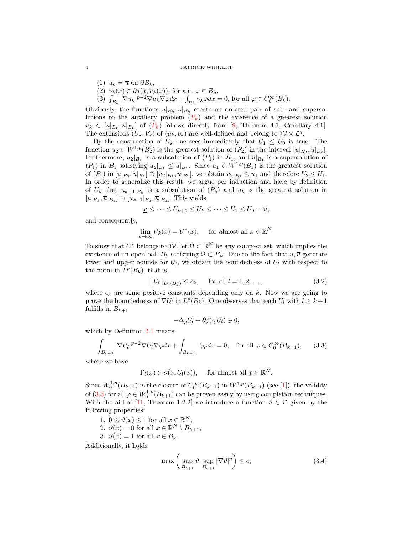#### 4 PATRICK WINKERT

- (1)  $u_k = \overline{u}$  on  $\partial B_k$ ,
- (2)  $\gamma_k(x) \in \partial j(x, u_k(x))$ , for a.a.  $x \in B_k$ ,
- (3)  $\int_{B_k} |\nabla u_k|^{p-2} \nabla u_k \nabla \varphi dx + \int_{B_k} \gamma_k \varphi dx = 0$ , for all  $\varphi \in C_0^{\infty}(B_k)$ .

Obviously, the functions  $\underline{u}|_{B_k}$ ,  $\overline{u}|_{B_k}$  create an ordered pair of sub- and supersolutions to the auxiliary problem  $(P_k)$  $(P_k)$  $(P_k)$  and the existence of a greatest solution  $u_k \in [\underline{u}|_{B_k}, \overline{u}|_{B_k}]$  of  $(P_k)$  $(P_k)$  $(P_k)$  follows directly from [\[9,](#page-10-1) Theorem 4.1, Corollary 4.1]. The extensions  $(U_k, V_k)$  of  $(u_k, v_k)$  are well-defined and belong to  $W \times \mathcal{L}^q$ .

By the construction of  $U_k$  one sees immediately that  $U_1 \leq U_0$  is true. The function  $u_2 \in W^{1,p}(B_2)$  is the greatest solution of  $(P_2)$  in the interval  $[\underline{u}|_{B_2}, \overline{u}|_{B_2}]$ . Furthermore,  $u_2|_{B_1}$  is a subsolution of  $(P_1)$  in  $B_1$ , and  $\overline{u}|_{B_1}$  is a supersolution of  $(P_1)$  in  $B_1$  satisfying  $u_2|_{B_1} \leq \overline{u}|_{B_1}$ . Since  $u_1 \in W^{1,p}(B_1)$  is the greatest solution of  $(P_1)$  in  $[\underline{u}|_{B_1}, \overline{u}|_{B_1}] \supset [u_2|_{B_1}, \overline{u}|_{B_1}]$ , we obtain  $u_2|_{B_1} \leq u_1$  and therefore  $U_2 \leq U_1$ . In order to generalize this result, we argue per induction and have by definition of  $U_k$  that  $u_{k+1}|_{B_k}$  is a subsolution of  $(P_k)$  and  $u_k$  is the greatest solution in  $[\underline{u}|_{B_k}, \overline{u}|_{B_k}] \supset [u_{k+1}|_{B_k}, \overline{u}|_{B_k}]$ . This yields

$$
\underline{u} \leq \cdots \leq U_{k+1} \leq U_k \leq \cdots \leq U_1 \leq U_0 = \overline{u},
$$

and consequently,

$$
\lim_{k \to \infty} U_k(x) = U^*(x), \quad \text{ for almost all } x \in \mathbb{R}^N.
$$

To show that  $U^*$  belongs to  $W$ , let  $\Omega \subset \mathbb{R}^N$  be any compact set, which implies the existence of an open ball  $B_k$  satisfying  $\Omega \subset B_k$ . Due to the fact that  $\underline{u}, \overline{u}$  generate lower and upper bounds for  $U_l$ , we obtain the boundedness of  $U_l$  with respect to the norm in  $L^p(B_k)$ , that is,

$$
||U_l||_{L^p(B_k)} \le c_k, \quad \text{ for all } l = 1, 2, \dots,
$$
\n(3.2)

where  $c_k$  are some positive constants depending only on k. Now we are going to prove the boundedness of  $\nabla U_l$  in  $L^p(B_k)$ . One observes that each  $U_l$  with  $l \geq k+1$ fulfills in  $B_{k+1}$ 

<span id="page-3-2"></span><span id="page-3-0"></span>
$$
-\Delta_p U_l + \partial j(\cdot, U_l) \ni 0,
$$

which by Definition [2.1](#page-2-2) means

$$
\int_{B_{k+1}} |\nabla U_l|^{p-2} \nabla U_l \nabla \varphi dx + \int_{B_{k+1}} \Gamma_l \varphi dx = 0, \text{ for all } \varphi \in C_0^{\infty}(B_{k+1}), \quad (3.3)
$$

where we have

$$
\Gamma_l(x) \in \partial(x, U_l(x)),
$$
 for almost all  $x \in \mathbb{R}^N$ .

Since  $W_0^{1,p}(B_{k+1})$  is the closure of  $C_0^{\infty}(B_{k+1})$  in  $W^{1,p}(B_{k+1})$  (see [\[1\]](#page-9-5)), the validity of [\(3.3\)](#page-3-0) for all  $\varphi \in W_0^{1,p}(B_{k+1})$  can be proven easily by using completion techniques. With the aid of [\[11,](#page-10-3) Theorem 1.2.2] we introduce a function  $\vartheta \in \mathcal{D}$  given by the following properties:

1.  $0 \leq \vartheta(x) \leq 1$  for all  $x \in \mathbb{R}^N$ , 2.  $\vartheta(x) = 0$  for all  $x \in \mathbb{R}^N \setminus B_{k+1}$ , 3.  $\vartheta(x) = 1$  for all  $x \in \overline{B_k}$ .

Additionally, it holds

<span id="page-3-1"></span>
$$
\max\left(\sup_{B_{k+1}} \vartheta, \sup_{B_{k+1}} |\nabla \vartheta|^p\right) \le c,\tag{3.4}
$$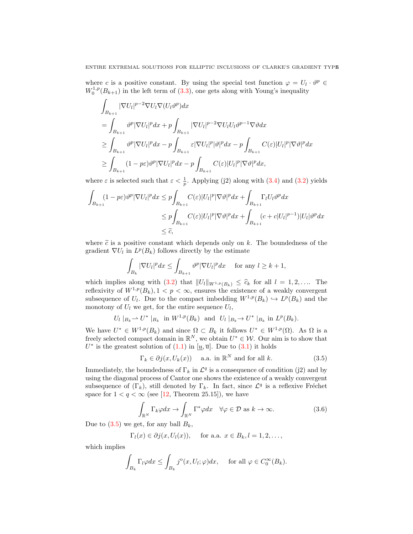where c is a positive constant. By using the special test function  $\varphi = U_l \cdot \vartheta^p \in$  $W_0^{1,p}(B_{k+1})$  in the left term of [\(3.3\)](#page-3-0), one gets along with Young's inequality

$$
\int_{B_{k+1}} |\nabla U_l|^{p-2} \nabla U_l \nabla (U_l \vartheta^p) dx
$$
\n
$$
= \int_{B_{k+1}} \vartheta^p |\nabla U_l|^p dx + p \int_{B_{k+1}} |\nabla U_l|^{p-2} \nabla U_l U_l \vartheta^{p-1} \nabla \vartheta dx
$$
\n
$$
\geq \int_{B_{k+1}} \vartheta^p |\nabla U_l|^p dx - p \int_{B_{k+1}} \varepsilon |\nabla U_l|^p |\vartheta|^p dx - p \int_{B_{k+1}} C(\varepsilon) |U_l|^p |\nabla \vartheta|^p dx
$$
\n
$$
\geq \int_{B_{k+1}} (1 - p\varepsilon) \vartheta^p |\nabla U_l|^p dx - p \int_{B_{k+1}} C(\varepsilon) |U_l|^p |\nabla \vartheta|^p dx,
$$

where  $\varepsilon$  is selected such that  $\varepsilon < \frac{1}{p}$ . Applying (j2) along with [\(3.4\)](#page-3-1) and [\(3.2\)](#page-3-2) yields

$$
\int_{B_{k+1}} (1 - p\varepsilon) \vartheta^p |\nabla U_l|^p dx \le p \int_{B_{k+1}} C(\varepsilon) |U_l|^p |\nabla \vartheta|^p dx + \int_{B_{k+1}} \Gamma_l U_l \vartheta^p dx
$$
\n
$$
\le p \int_{B_{k+1}} C(\varepsilon) |U_l|^p |\nabla \vartheta|^p dx + \int_{B_{k+1}} (c + c |U_l|^{p-1}) |U_l| \vartheta^p dx
$$
\n
$$
\le \widetilde{c},
$$

where  $\tilde{c}$  is a positive constant which depends only on k. The boundedness of the gradient  $\nabla U_l$  in  $L^p(B_k)$  follows directly by the estimate

$$
\int_{B_k} |\nabla U_l|^p dx \le \int_{B_{k+1}} \vartheta^p |\nabla U_l|^p dx \quad \text{ for any } l \ge k+1,
$$

which implies along with [\(3.2\)](#page-3-2) that  $||U_l||_{W^{1,p}(B_k)} \leq \hat{c}_k$  for all  $l = 1, 2, \dots$  The reflexivity of  $W^{1,p}(B_k)$ ,  $1 < p < \infty$ , ensures the existence of a weakly convergent subsequence of  $U_l$ . Due to the compact imbedding  $W^{1,p}(B_k) \hookrightarrow L^p(B_k)$  and the monotony of  $U_l$  we get, for the entire sequence  $U_l$ ,

$$
U_l|_{B_k} \rightharpoonup U^*|_{B_k}
$$
 in  $W^{1,p}(B_k)$  and  $U_l|_{B_k} \rightharpoonup U^*|_{B_k}$  in  $L^p(B_k)$ .

We have  $U^* \in W^{1,p}(B_k)$  and since  $\Omega \subset B_k$  it follows  $U^* \in W^{1,p}(\Omega)$ . As  $\Omega$  is a freely selected compact domain in  $\mathbb{R}^N$ , we obtain  $U^* \in \mathcal{W}$ . Our aim is to show that  $U^*$  is the greatest solution of  $(1.1)$  in  $[u, \overline{u}]$ . Due to  $(3.1)$  it holds

<span id="page-4-0"></span>
$$
\Gamma_k \in \partial j(x, U_k(x)) \quad \text{a.a. in } \mathbb{R}^N \text{ and for all } k. \tag{3.5}
$$

Immediately, the boundedness of  $\Gamma_k$  in  $\mathcal{L}^q$  is a consequence of condition (j2) and by using the diagonal process of Cantor one shows the existence of a weakly convergent subsequence of  $(\Gamma_k)$ , still denoted by  $\Gamma_k$ . In fact, since  $\mathcal{L}^q$  is a reflexive Fréchet space for  $1 < q < \infty$  (see [\[12,](#page-10-2) Theorem 25.15]), we have

<span id="page-4-1"></span>
$$
\int_{\mathbb{R}^N} \Gamma_k \varphi dx \to \int_{\mathbb{R}^N} \Gamma^* \varphi dx \quad \forall \varphi \in \mathcal{D} \text{ as } k \to \infty. \tag{3.6}
$$

Due to  $(3.5)$  we get, for any ball  $B_k$ ,

$$
\Gamma_l(x) \in \partial j(x, U_l(x)),
$$
 for a.a.  $x \in B_k, l = 1, 2, \ldots,$ 

which implies

$$
\int_{B_k} \Gamma_l \varphi dx \le \int_{B_k} j^{\circ}(x, U_l; \varphi) dx, \quad \text{ for all } \varphi \in C_0^{\infty}(B_k).
$$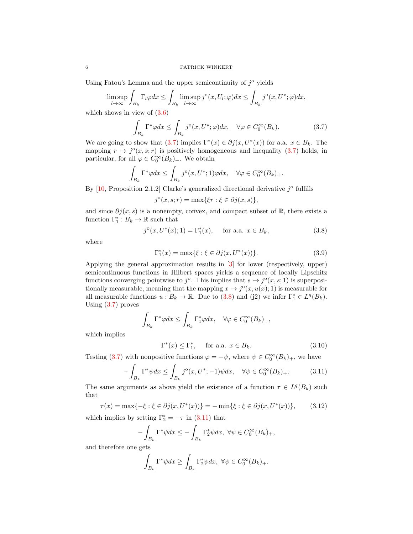Using Fatou's Lemma and the upper semicontinuity of  $j^{\circ}$  yields

$$
\limsup_{l\to\infty}\int_{B_k}\Gamma_l\varphi dx\leq \int_{B_k}\limsup_{l\to\infty}j^{\circ}(x,U_l;\varphi)dx\leq \int_{B_k}j^{\circ}(x,U^*;\varphi)dx,
$$

which shows in view of [\(3.6\)](#page-4-1)

$$
\int_{B_k} \Gamma^* \varphi dx \le \int_{B_k} j^{\circ}(x, U^*; \varphi) dx, \quad \forall \varphi \in C_0^{\infty}(B_k). \tag{3.7}
$$

We are going to show that  $(3.7)$  implies  $\Gamma^*(x) \in \partial j(x, U^*(x))$  for a.a.  $x \in B_k$ . The mapping  $r \mapsto j^{\circ}(x, s; r)$  is positively homogeneous and inequality [\(3.7\)](#page-5-0) holds, in particular, for all  $\varphi \in C_0^{\infty}(B_k)_{+}$ . We obtain

$$
\int_{B_k} \Gamma^* \varphi dx \le \int_{B_k} j^{\circ}(x, U^*; 1) \varphi dx, \quad \forall \varphi \in C_0^{\infty}(B_k)_+.
$$

By  $[10,$  Proposition 2.1.2] Clarke's generalized directional derivative  $j^{\circ}$  fulfills

<span id="page-5-0"></span>
$$
j^{\circ}(x, s; r) = \max\{\xi r : \xi \in \partial j(x, s)\},\
$$

and since  $\partial j(x, s)$  is a nonempty, convex, and compact subset of R, there exists a function  $\Gamma_1^*: B_k \to \mathbb{R}$  such that

$$
j^{o}(x, U^{*}(x); 1) = \Gamma_{1}^{*}(x), \quad \text{for a.a. } x \in B_{k}, \tag{3.8}
$$

where

<span id="page-5-3"></span><span id="page-5-1"></span>
$$
\Gamma_1^*(x) = \max\{\xi : \xi \in \partial j(x, U^*(x))\}.
$$
\n(3.9)

Applying the general approximation results in [\[3\]](#page-9-6) for lower (respectively, upper) semicontinuous functions in Hilbert spaces yields a sequence of locally Lipschitz functions converging pointwise to  $j^{\circ}$ . This implies that  $s \mapsto j^{\circ}(x, s; 1)$  is superpositionally measurable, meaning that the mapping  $x \mapsto j^{\circ}(x, u(x); 1)$  is measurable for all measurable functions  $u : B_k \to \mathbb{R}$ . Due to [\(3.8\)](#page-5-1) and (j2) we infer  $\Gamma_1^* \in L^q(B_k)$ . Using  $(3.7)$  proves

$$
\int_{B_k} \Gamma^* \varphi dx \le \int_{B_k} \Gamma_1^* \varphi dx, \quad \forall \varphi \in C_0^{\infty}(B_k)_+,
$$

which implies

<span id="page-5-5"></span><span id="page-5-4"></span><span id="page-5-2"></span>
$$
\Gamma^*(x) \le \Gamma_1^*, \quad \text{for a.a. } x \in B_k. \tag{3.10}
$$

Testing [\(3.7\)](#page-5-0) with nonpositive functions  $\varphi = -\psi$ , where  $\psi \in C_0^{\infty}(B_k)_{+}$ , we have

$$
-\int_{B_k} \Gamma^* \psi dx \le \int_{B_k} j^{\circ}(x, U^*; -1)\psi dx, \quad \forall \psi \in C_0^{\infty}(B_k)_+.
$$
 (3.11)

The same arguments as above yield the existence of a function  $\tau \in L^q(B_k)$  such that

$$
\tau(x) = \max\{-\xi : \xi \in \partial j(x, U^*(x))\} = -\min\{\xi : \xi \in \partial j(x, U^*(x))\},\tag{3.12}
$$

which implies by setting  $\Gamma_2^* = -\tau$  in [\(3.11\)](#page-5-2) that

$$
-\int_{B_k} \Gamma^* \psi dx \le -\int_{B_k} \Gamma_2^* \psi dx, \ \forall \psi \in C_0^{\infty}(B_k)_+,
$$

and therefore one gets

$$
\int_{B_k} \Gamma^* \psi dx \ge \int_{B_k} \Gamma_2^* \psi dx, \ \forall \psi \in C_0^{\infty}(B_k)_+.
$$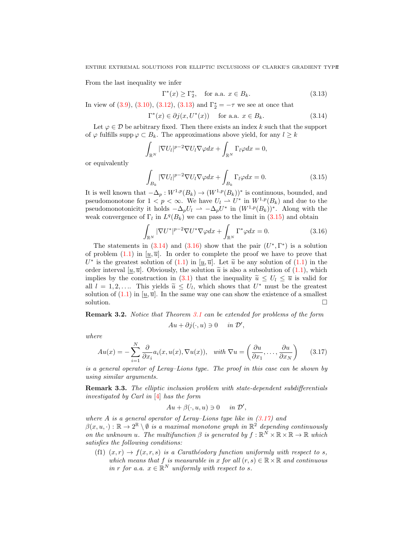From the last inequality we infer

<span id="page-6-2"></span><span id="page-6-0"></span>
$$
\Gamma^*(x) \ge \Gamma_2^*, \quad \text{for a.a. } x \in B_k. \tag{3.13}
$$

In view of [\(3.9\)](#page-5-3), [\(3.10\)](#page-5-4), [\(3.12\)](#page-5-5), [\(3.13\)](#page-6-0) and  $\Gamma_2^* = -\tau$  we see at once that

$$
\Gamma^*(x) \in \partial j(x, U^*(x)) \quad \text{for a.a. } x \in B_k.
$$
\n(3.14)

Let  $\varphi \in \mathcal{D}$  be arbitrary fixed. Then there exists an index k such that the support of  $\varphi$  fulfills supp  $\varphi \subset B_k$ . The approximations above yield, for any  $l \geq k$ 

$$
\int_{\mathbb{R}^N} |\nabla U_l|^{p-2} \nabla U_l \nabla \varphi dx + \int_{\mathbb{R}^N} \Gamma_l \varphi dx = 0,
$$

or equivalently

<span id="page-6-1"></span>
$$
\int_{B_k} |\nabla U_l|^{p-2} \nabla U_l \nabla \varphi dx + \int_{B_k} \Gamma_l \varphi dx = 0.
$$
\n(3.15)

It is well known that  $-\Delta_p: W^{1,p}(B_k) \to (W^{1,p}(B_k))^*$  is continuous, bounded, and pseudomonotone for  $1 < p < \infty$ . We have  $U_l \rightharpoonup U^*$  in  $W^{1,p}(B_k)$  and due to the pseudomonotonicity it holds  $-\Delta_p U_l \rightharpoonup -\Delta_p U^*$  in  $(W^{1,p}(B_k))^*$ . Along with the weak convergence of  $\Gamma_l$  in  $L^q(B_k)$  we can pass to the limit in [\(3.15\)](#page-6-1) and obtain

<span id="page-6-3"></span>
$$
\int_{\mathbb{R}^N} |\nabla U^*|^{p-2} \nabla U^* \nabla \varphi dx + \int_{\mathbb{R}^N} \Gamma^* \varphi dx = 0.
$$
\n(3.16)

The statements in  $(3.14)$  and  $(3.16)$  show that the pair  $(U^*, \Gamma^*)$  is a solution of problem  $(1.1)$  in  $[u,\overline{u}]$ . In order to complete the proof we have to prove that  $U^*$  is the greatest solution of  $(1.1)$  $(1.1)$  in  $[u, \overline{u}]$ . Let  $\widetilde{u}$  be any solution of  $(1.1)$  in the order interval  $[u, \overline{u}]$ . Obviously, the solution  $\widetilde{u}$  is also a subsolution of  $(1.1)$ , which order interval [u,  $\overline{u}$ ]. Obviously, the solution  $\tilde{u}$  is also a subsolution of [\(1.1\)](#page-0-0), which implies by the construction in [\(3.1\)](#page-2-3) that the inequality  $\tilde{u} \leq U_l \leq \overline{u}$  is valid for all  $l = 1, 2, \ldots$  This yields  $\tilde{u} \leq U_l$ , which shows that  $U^*$  must be the greatest<br>solution of (1,1) in  $[u, \bar{v}]$ . In the same way one can show the oxistence of a smallest solution of  $(1.1)$  in  $[u, \overline{u}]$ . In the same way one can show the existence of a smallest solution.  $\Box$ 

Remark 3.2. Notice that Theorem [3.1](#page-2-4) can be extended for problems of the form  $Au + \partial j(\cdot, u) \ni 0 \quad in \ \mathcal{D}',$ 

where

$$
Au(x) = -\sum_{i=1}^{N} \frac{\partial}{\partial x_i} a_i(x, u(x), \nabla u(x)), \quad with \ \nabla u = \left(\frac{\partial u}{\partial x_1}, \dots, \frac{\partial u}{\partial x_N}\right) \tag{3.17}
$$

is a general operator of Leray–Lions type. The proof in this case can be shown by using similar arguments.

Remark 3.3. The elliptic inclusion problem with state-dependent subdifferentials investigated by Carl in [\[4\]](#page-9-3) has the form

<span id="page-6-4"></span>
$$
Au + \beta(\cdot, u, u) \ni 0 \quad in \ \mathcal{D}',
$$

where A is a general operator of Leray–Lions type like in  $(3.17)$  and  $\beta(x, u, \cdot) : \mathbb{R} \to 2^{\mathbb{R}} \setminus \emptyset$  is a maximal monotone graph in  $\mathbb{R}^2$  depending continuously on the unknown u. The multifunction  $\beta$  is generated by  $f : \mathbb{R}^N \times \mathbb{R} \times \mathbb{R} \to \mathbb{R}$  which satisfies the following conditions:

(f1)  $(x, r) \rightarrow f(x, r, s)$  is a Carathéodory function uniformly with respect to s, which means that f is measurable in x for all  $(r, s) \in \mathbb{R} \times \mathbb{R}$  and continuous in r for a.a.  $x \in \mathbb{R}^N$  uniformly with respect to s.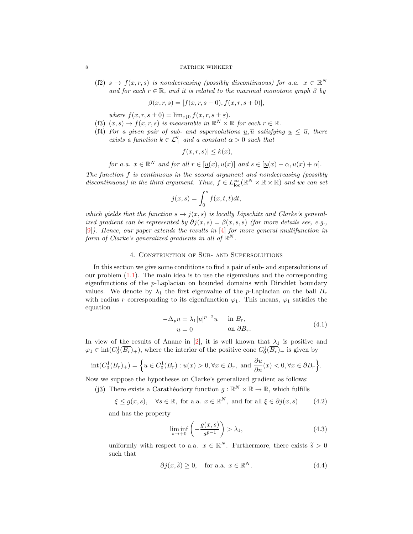#### 8 PATRICK WINKERT

(f2)  $s \to f(x,r,s)$  is nondecreasing (possibly discontinuous) for a.a.  $x \in \mathbb{R}^N$ and for each  $r \in \mathbb{R}$ , and it is related to the maximal monotone graph  $\beta$  by

$$
\beta(x, r, s) = [f(x, r, s - 0), f(x, r, s + 0)],
$$

where  $f(x, r, s \pm 0) = \lim_{\varepsilon \downarrow 0} f(x, r, s \pm \varepsilon).$ 

- (f3)  $(x, s) \to f(x, r, s)$  is measurable in  $\mathbb{R}^N \times \mathbb{R}$  for each  $r \in \mathbb{R}$ .
- (f4) For a given pair of sub- and supersolutions  $\underline{u}, \overline{u}$  satisfying  $\underline{u} \leq \overline{u}$ , there exists a function  $k \in \mathcal{L}_+^q$  and a constant  $\alpha > 0$  such that

$$
|f(x,r,s)| \le k(x),
$$

for a.a.  $x \in \mathbb{R}^N$  and for all  $r \in [\underline{u}(x), \overline{u}(x)]$  and  $s \in [\underline{u}(x) - \alpha, \overline{u}(x) + \alpha]$ .

The function f is continuous in the second argument and nondecreasing (possibly discontinuous) in the third argument. Thus,  $f \in L^{\infty}_{loc}(\mathbb{R}^N \times \mathbb{R} \times \mathbb{R})$  and we can set

$$
j(x,s) = \int_0^s f(x,t,t)dt,
$$

which yields that the function  $s \mapsto j(x, s)$  is locally Lipschitz and Clarke's generalized gradient can be represented by  $\partial j(x, s) = \beta(x, s, s)$  (for more details see, e.g., [\[9\]](#page-10-1)). Hence, our paper extends the results in [\[4\]](#page-9-3) for more general multifunction in form of Clarke's generalized gradients in all of  $\mathbb{R}^N$ .

### 4. Construction of Sub- and Supersolutions

In this section we give some conditions to find a pair of sub- and supersolutions of our problem  $(1.1)$ . The main idea is to use the eigenvalues and the corresponding eigenfunctions of the p-Laplacian on bounded domains with Dirichlet boundary values. We denote by  $\lambda_1$  the first eigenvalue of the *p*-Laplacian on the ball  $B_r$ with radius r corresponding to its eigenfunction  $\varphi_1$ . This means,  $\varphi_1$  satisfies the equation

<span id="page-7-0"></span>
$$
-\Delta_p u = \lambda_1 |u|^{p-2}u \quad \text{in } B_r,
$$
  
\n
$$
u = 0 \quad \text{on } \partial B_r.
$$
\n(4.1)

In view of the results of Anane in [\[2\]](#page-9-7), it is well known that  $\lambda_1$  is positive and  $\varphi_1 \in \text{int}(C_0^1(\overline{B_r})_+)$ , where the interior of the positive cone  $C_0^1(\overline{B_r})_+$  is given by

$$
int(C_0^1(\overline{B_r})_+) = \left\{ u \in C_0^1(\overline{B_r}) : u(x) > 0, \forall x \in B_r, \text{ and } \frac{\partial u}{\partial n}(x) < 0, \forall x \in \partial B_r \right\}.
$$

Now we suppose the hypotheses on Clarke's generalized gradient as follows:

- (j3) There exists a Carathéodory function  $g : \mathbb{R}^N \times \mathbb{R} \to \mathbb{R}$ , which fulfills
	- $\xi \leq g(x, s)$ ,  $\forall s \in \mathbb{R}$ , for a.a.  $x \in \mathbb{R}^N$ , and for all  $\xi \in \partial j(x, s)$  (4.2)

and has the property

<span id="page-7-3"></span><span id="page-7-2"></span><span id="page-7-1"></span>
$$
\liminf_{s \to +0} \left( -\frac{g(x,s)}{s^{p-1}} \right) > \lambda_1,\tag{4.3}
$$

uniformly with respect to a.a.  $x \in \mathbb{R}^N$ . Furthermore, there exists  $\tilde{s} > 0$ such that

$$
\partial j(x,\tilde{s}) \ge 0, \quad \text{for a.a. } x \in \mathbb{R}^N. \tag{4.4}
$$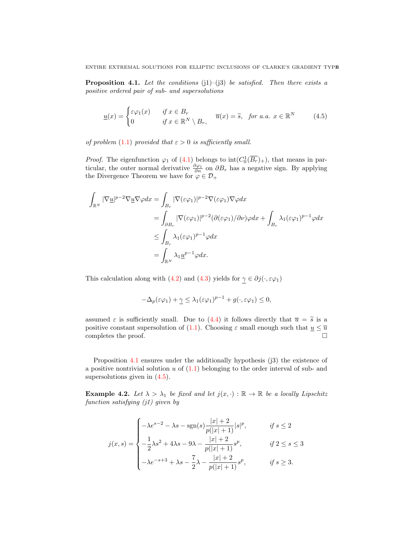<span id="page-8-0"></span>**Proposition 4.1.** Let the conditions  $(j1)-(j3)$  be satisfied. Then there exists a positive ordered pair of sub- and supersolutions

<span id="page-8-1"></span>
$$
\underline{u}(x) = \begin{cases} \varepsilon \varphi_1(x) & \text{if } x \in B_r \\ 0 & \text{if } x \in \mathbb{R}^N \setminus B_r, \end{cases} \quad \overline{u}(x) = \widetilde{s}, \quad \text{for a.a. } x \in \mathbb{R}^N \tag{4.5}
$$

of problem [\(1.1\)](#page-0-0) provided that  $\varepsilon > 0$  is sufficiently small.

*Proof.* The eigenfunction  $\varphi_1$  of [\(4.1\)](#page-7-0) belongs to  $int(C_0^1(\overline{B_r})_+)$ , that means in particular, the outer normal derivative  $\frac{\partial \varphi_1}{\partial n}$  on  $\partial B_r$  has a negative sign. By applying the Divergence Theorem we have for  $\varphi \in \mathcal{D}_+$ 

$$
\int_{\mathbb{R}^N} |\nabla \underline{u}|^{p-2} \nabla \underline{u} \nabla \varphi dx = \int_{B_r} |\nabla (\varepsilon \varphi_1)|^{p-2} \nabla (\varepsilon \varphi_1) \nabla \varphi dx
$$
\n
$$
= \int_{\partial B_r} |\nabla (\varepsilon \varphi_1)|^{p-2} (\partial (\varepsilon \varphi_1)/\partial \nu) \varphi dx + \int_{B_r} \lambda_1 (\varepsilon \varphi_1)^{p-1} \varphi dx
$$
\n
$$
\leq \int_{B_r} \lambda_1 (\varepsilon \varphi_1)^{p-1} \varphi dx
$$
\n
$$
= \int_{\mathbb{R}^N} \lambda_1 \underline{u}^{p-1} \varphi dx.
$$

This calculation along with [\(4.2\)](#page-7-1) and [\(4.3\)](#page-7-2) yields for  $\gamma \in \partial j(\cdot, \varepsilon \varphi_1)$ 

$$
-\Delta_p(\varepsilon\varphi_1) + \underline{\gamma} \le \lambda_1(\varepsilon\varphi_1)^{p-1} + g(\cdot, \varepsilon\varphi_1) \le 0,
$$

assumed  $\varepsilon$  is sufficiently small. Due to [\(4.4\)](#page-7-3) it follows directly that  $\overline{u} = \tilde{s}$  is a positive constant supersolution of [\(1.1\)](#page-0-0). Choosing  $\varepsilon$  small enough such that  $\underline{u} \leq \overline{u}$ completes the proof.

Proposition [4.1](#page-8-0) ensures under the additionally hypothesis (i3) the existence of a positive nontrivial solution  $u$  of  $(1.1)$  belonging to the order interval of sub- and supersolutions given in  $(4.5)$ .

**Example 4.2.** Let  $\lambda > \lambda_1$  be fixed and let  $j(x, \cdot) : \mathbb{R} \to \mathbb{R}$  be a locally Lipschitz function satisfying (j1) given by

$$
j(x,s) = \begin{cases}\n-\lambda e^{s-2} - \lambda s - \text{sgn}(s) \frac{|x|+2}{p(|x|+1)} |s|^p, & \text{if } s \le 2 \\
-\frac{1}{2}\lambda s^2 + 4\lambda s - 9\lambda - \frac{|x|+2}{p(|x|+1)} s^p, & \text{if } 2 \le s \le 3 \\
-\lambda e^{-s+3} + \lambda s - \frac{7}{2}\lambda - \frac{|x|+2}{p(|x|+1)} s^p, & \text{if } s \ge 3.\n\end{cases}
$$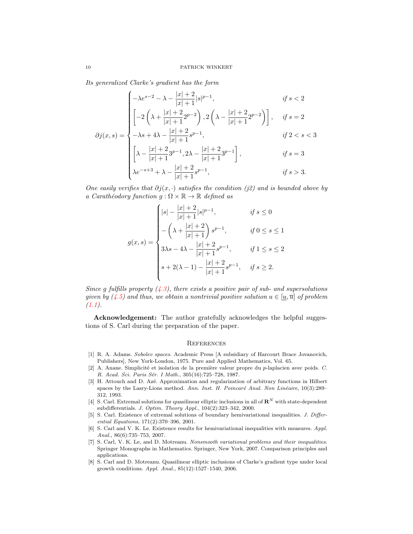Its generalized Clarke's gradient has the form

$$
\partial j(x,s) = \begin{cases}\n-\lambda e^{s-2} - \lambda - \frac{|x|+2}{|x|+1}|s|^{p-1}, & \text{if } s < 2 \\
\left[ -2\left(\lambda + \frac{|x|+2}{|x|+1}2^{p-2}\right), 2\left(\lambda - \frac{|x|+2}{|x|+1}2^{p-2}\right) \right], & \text{if } s = 2 \\
-\lambda s + 4\lambda - \frac{|x|+2}{|x|+1}s^{p-1}, & \text{if } 2 < s < 3 \\
\left[ \lambda - \frac{|x|+2}{|x|+1}3^{p-1}, 2\lambda - \frac{|x|+2}{|x|+1}3^{p-1} \right], & \text{if } s = 3 \\
\lambda e^{-s+3} + \lambda - \frac{|x|+2}{|x|+1}s^{p-1}, & \text{if } s > 3.\n\end{cases}
$$

One easily verifies that  $\partial j(x, \cdot)$  satisfies the condition (j2) and is bounded above by a Carathéodory function  $g : \Omega \times \mathbb{R} \to \mathbb{R}$  defined as

$$
g(x,s) = \begin{cases} |s| - \frac{|x| + 2}{|x| + 1}|s|^{p-1}, & \text{if } s \le 0 \\ -\left(\lambda + \frac{|x| + 2}{|x| + 1}\right)s^{p-1}, & \text{if } 0 \le s \le 1 \\ 3\lambda s - 4\lambda - \frac{|x| + 2}{|x| + 1}s^{p-1}, & \text{if } 1 \le s \le 2 \\ s + 2(\lambda - 1) - \frac{|x| + 2}{|x| + 1}s^{p-1}, & \text{if } s \ge 2. \end{cases}
$$

Since g fulfills property  $(4.3)$ , there exists a positive pair of sub- and supersolutions given by [\(4.5\)](#page-8-1) and thus, we obtain a nontrivial positive solution  $u \in [u, \overline{u}]$  of problem  $(1.1).$  $(1.1).$ 

Acknowledgement: The author gratefully acknowledges the helpful suggestions of S. Carl during the preparation of the paper.

#### **REFERENCES**

- <span id="page-9-5"></span>[1] R. A. Adams. Sobolev spaces. Academic Press [A subsidiary of Harcourt Brace Jovanovich, Publishers], New York-London, 1975. Pure and Applied Mathematics, Vol. 65.
- <span id="page-9-7"></span> $[2]$  A. Anane. Simplicité et isolation de la première valeur propre du p-laplacien avec poids. C. R. Acad. Sci. Paris Sér. I Math., 305(16):725-728, 1987.
- <span id="page-9-6"></span>[3] H. Attouch and D. Azé. Approximation and regularization of arbitrary functions in Hilbert spaces by the Lasry-Lions method. Ann. Inst. H. Poincaré Anal. Non Linéaire,  $10(3):289-$ 312, 1993.
- <span id="page-9-3"></span>[4] S. Carl. Extremal solutions for quasilinear elliptic inclusions in all of  $\mathbb{R}^N$  with state-dependent subdifferentials. J. Optim. Theory Appl., 104(2):323–342, 2000.
- <span id="page-9-2"></span>[5] S. Carl. Existence of extremal solutions of boundary hemivariational inequalities. J. Differential Equations, 171(2):370–396, 2001.
- <span id="page-9-1"></span>[6] S. Carl and V. K. Le. Existence results for hemivariational inequalities with measures. Appl. Anal., 86(6):735–753, 2007.
- <span id="page-9-4"></span>[7] S. Carl, V. K. Le, and D. Motreanu. Nonsmooth variational problems and their inequalities. Springer Monographs in Mathematics. Springer, New York, 2007. Comparison principles and applications.
- <span id="page-9-0"></span>[8] S. Carl and D. Motreanu. Quasilinear elliptic inclusions of Clarke's gradient type under local growth conditions. Appl. Anal., 85(12):1527–1540, 2006.